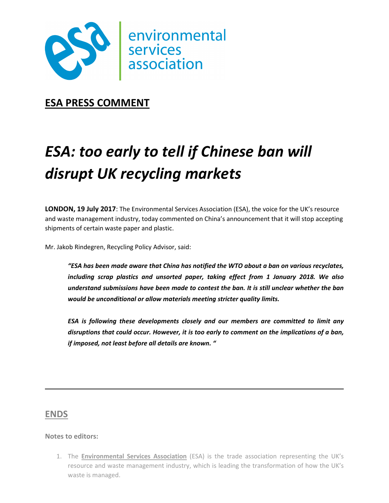

**ESA PRESS COMMENT** 

## *ESA: too early to tell if Chinese ban will disrupt UK recycling markets*

**LONDON, 19 July 2017**: The Environmental Services Association (ESA), the voice for the UK's resource and waste management industry, today commented on China's announcement that it will stop accepting shipments of certain waste paper and plastic.

Mr. Jakob Rindegren, Recycling Policy Advisor, said:

*"ESA has been made aware that China has notified the WTO about a ban on various recyclates, including scrap plastics and unsorted paper, taking effect from 1 January 2018. We also understand submissions have been made to contest the ban. It is still unclear whether the ban would be unconditional or allow materials meeting stricter quality limits.* 

*ESA is following these developments closely and our members are committed to limit any disruptions that could occur. However, it is too early to comment on the implications of a ban, if imposed, not least before all details are known. "*

## **ENDS**

## **Notes to editors:**

1. The **Environmental Services Association** (ESA) is the trade association representing the UK's resource and waste management industry, which is leading the transformation of how the UK's waste is managed.